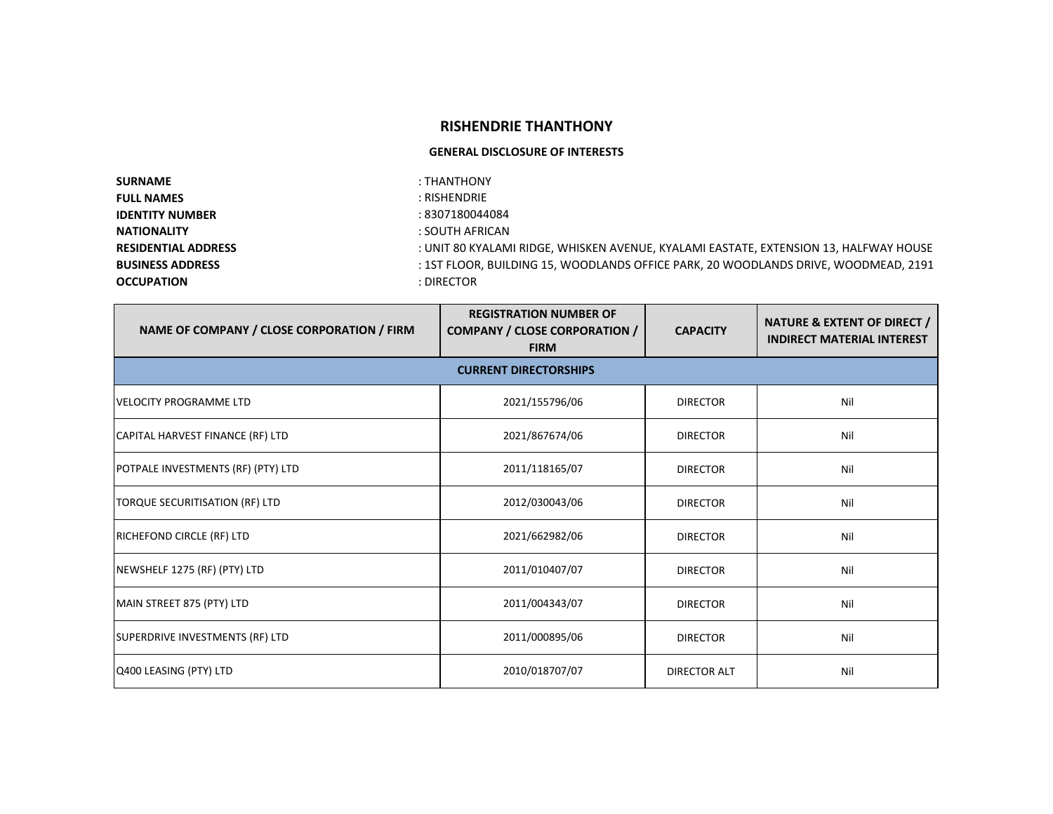## **RISHENDRIE THANTHONY**

## **GENERAL DISCLOSURE OF INTERESTS**

| <b>SURNAME</b>             | : THANTHONY                                                                           |
|----------------------------|---------------------------------------------------------------------------------------|
| <b>FULL NAMES</b>          | : RISHENDRIE                                                                          |
| <b>IDENTITY NUMBER</b>     | : 8307180044084                                                                       |
| <b>NATIONALITY</b>         | : SOUTH AFRICAN                                                                       |
| <b>RESIDENTIAL ADDRESS</b> | : UNIT 80 KYALAMI RIDGE, WHISKEN AVENUE, KYALAMI EASTATE, EXTENSION 13, HALFWAY HOUSE |
| <b>BUSINESS ADDRESS</b>    | : 1ST FLOOR, BUILDING 15, WOODLANDS OFFICE PARK, 20 WOODLANDS DRIVE, WOODMEAD, 2191   |
| <b>OCCUPATION</b>          | : DIRECTOR                                                                            |

| NAME OF COMPANY / CLOSE CORPORATION / FIRM | <b>REGISTRATION NUMBER OF</b><br><b>COMPANY / CLOSE CORPORATION /</b><br><b>FIRM</b> | <b>CAPACITY</b>     | <b>NATURE &amp; EXTENT OF DIRECT /</b><br><b>INDIRECT MATERIAL INTEREST</b> |
|--------------------------------------------|--------------------------------------------------------------------------------------|---------------------|-----------------------------------------------------------------------------|
|                                            | <b>CURRENT DIRECTORSHIPS</b>                                                         |                     |                                                                             |
| <b>VELOCITY PROGRAMME LTD</b>              | 2021/155796/06                                                                       | <b>DIRECTOR</b>     | Nil                                                                         |
| CAPITAL HARVEST FINANCE (RF) LTD           | 2021/867674/06                                                                       | <b>DIRECTOR</b>     | Nil                                                                         |
| POTPALE INVESTMENTS (RF) (PTY) LTD         | 2011/118165/07                                                                       | <b>DIRECTOR</b>     | Nil                                                                         |
| TORQUE SECURITISATION (RF) LTD             | 2012/030043/06                                                                       | <b>DIRECTOR</b>     | Nil                                                                         |
| <b>RICHEFOND CIRCLE (RF) LTD</b>           | 2021/662982/06                                                                       | <b>DIRECTOR</b>     | Nil                                                                         |
| NEWSHELF 1275 (RF) (PTY) LTD               | 2011/010407/07                                                                       | <b>DIRECTOR</b>     | Nil                                                                         |
| MAIN STREET 875 (PTY) LTD                  | 2011/004343/07                                                                       | <b>DIRECTOR</b>     | Nil                                                                         |
| SUPERDRIVE INVESTMENTS (RF) LTD            | 2011/000895/06                                                                       | <b>DIRECTOR</b>     | Nil                                                                         |
| Q400 LEASING (PTY) LTD                     | 2010/018707/07                                                                       | <b>DIRECTOR ALT</b> | Nil                                                                         |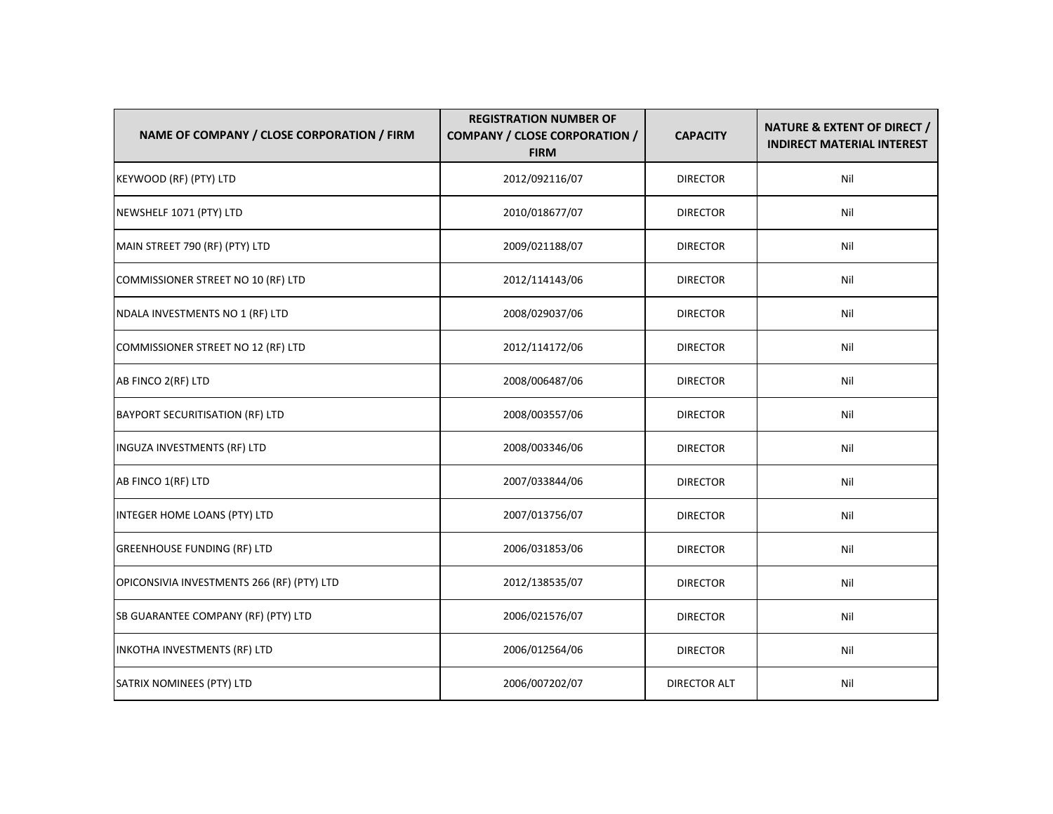| NAME OF COMPANY / CLOSE CORPORATION / FIRM | <b>REGISTRATION NUMBER OF</b><br><b>COMPANY / CLOSE CORPORATION /</b><br><b>FIRM</b> | <b>CAPACITY</b>     | NATURE & EXTENT OF DIRECT /<br><b>INDIRECT MATERIAL INTEREST</b> |
|--------------------------------------------|--------------------------------------------------------------------------------------|---------------------|------------------------------------------------------------------|
| KEYWOOD (RF) (PTY) LTD                     | 2012/092116/07                                                                       | <b>DIRECTOR</b>     | Nil                                                              |
| NEWSHELF 1071 (PTY) LTD                    | 2010/018677/07                                                                       | <b>DIRECTOR</b>     | Nil                                                              |
| MAIN STREET 790 (RF) (PTY) LTD             | 2009/021188/07                                                                       | <b>DIRECTOR</b>     | Nil                                                              |
| COMMISSIONER STREET NO 10 (RF) LTD         | 2012/114143/06                                                                       | <b>DIRECTOR</b>     | Nil                                                              |
| NDALA INVESTMENTS NO 1 (RF) LTD            | 2008/029037/06                                                                       | <b>DIRECTOR</b>     | Nil                                                              |
| COMMISSIONER STREET NO 12 (RF) LTD         | 2012/114172/06                                                                       | <b>DIRECTOR</b>     | Nil                                                              |
| AB FINCO 2(RF) LTD                         | 2008/006487/06                                                                       | <b>DIRECTOR</b>     | Nil                                                              |
| <b>BAYPORT SECURITISATION (RF) LTD</b>     | 2008/003557/06                                                                       | <b>DIRECTOR</b>     | Nil                                                              |
| INGUZA INVESTMENTS (RF) LTD                | 2008/003346/06                                                                       | <b>DIRECTOR</b>     | Nil                                                              |
| AB FINCO 1(RF) LTD                         | 2007/033844/06                                                                       | <b>DIRECTOR</b>     | Nil                                                              |
| INTEGER HOME LOANS (PTY) LTD               | 2007/013756/07                                                                       | <b>DIRECTOR</b>     | Nil                                                              |
| <b>GREENHOUSE FUNDING (RF) LTD</b>         | 2006/031853/06                                                                       | <b>DIRECTOR</b>     | Nil                                                              |
| OPICONSIVIA INVESTMENTS 266 (RF) (PTY) LTD | 2012/138535/07                                                                       | <b>DIRECTOR</b>     | Nil                                                              |
| SB GUARANTEE COMPANY (RF) (PTY) LTD        | 2006/021576/07                                                                       | <b>DIRECTOR</b>     | Nil                                                              |
| INKOTHA INVESTMENTS (RF) LTD               | 2006/012564/06                                                                       | <b>DIRECTOR</b>     | Nil                                                              |
| SATRIX NOMINEES (PTY) LTD                  | 2006/007202/07                                                                       | <b>DIRECTOR ALT</b> | Nil                                                              |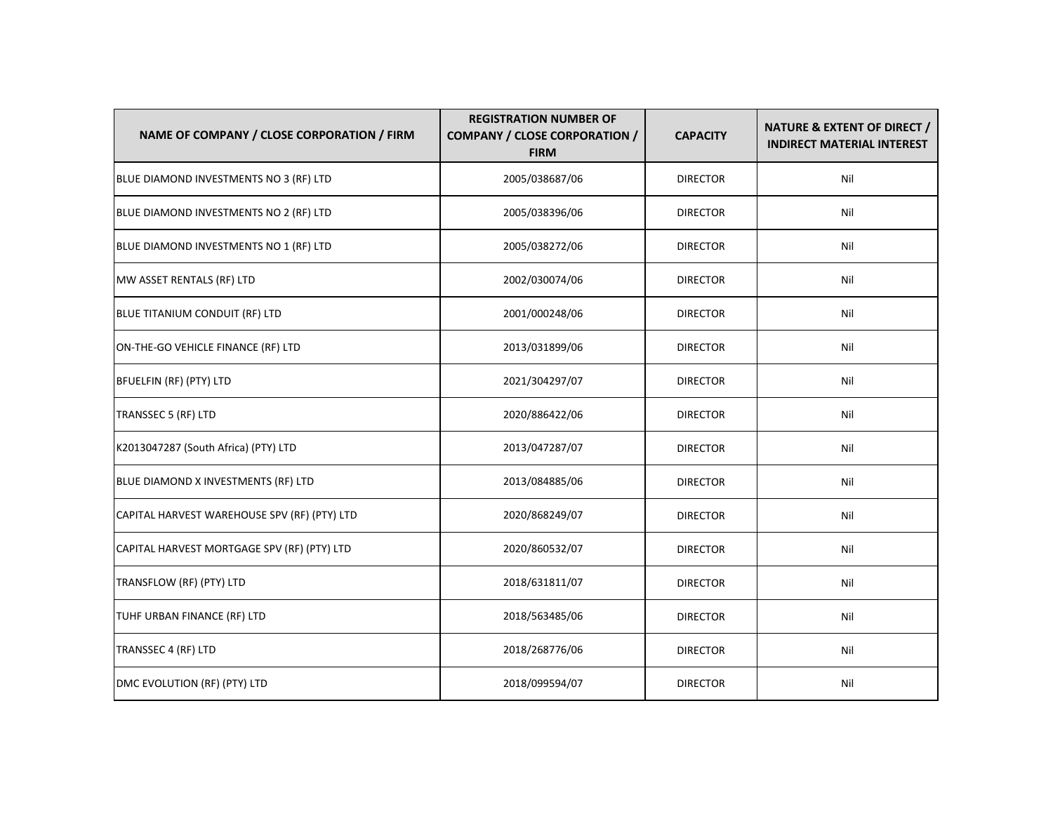| NAME OF COMPANY / CLOSE CORPORATION / FIRM   | <b>REGISTRATION NUMBER OF</b><br><b>COMPANY / CLOSE CORPORATION /</b><br><b>FIRM</b> | <b>CAPACITY</b> | NATURE & EXTENT OF DIRECT /<br><b>INDIRECT MATERIAL INTEREST</b> |
|----------------------------------------------|--------------------------------------------------------------------------------------|-----------------|------------------------------------------------------------------|
| BLUE DIAMOND INVESTMENTS NO 3 (RF) LTD       | 2005/038687/06                                                                       | <b>DIRECTOR</b> | Nil                                                              |
| BLUE DIAMOND INVESTMENTS NO 2 (RF) LTD       | 2005/038396/06                                                                       | <b>DIRECTOR</b> | Nil                                                              |
| BLUE DIAMOND INVESTMENTS NO 1 (RF) LTD       | 2005/038272/06                                                                       | <b>DIRECTOR</b> | Nil                                                              |
| MW ASSET RENTALS (RF) LTD                    | 2002/030074/06                                                                       | <b>DIRECTOR</b> | Nil                                                              |
| BLUE TITANIUM CONDUIT (RF) LTD               | 2001/000248/06                                                                       | <b>DIRECTOR</b> | Nil                                                              |
| ON-THE-GO VEHICLE FINANCE (RF) LTD           | 2013/031899/06                                                                       | <b>DIRECTOR</b> | Nil                                                              |
| BFUELFIN (RF) (PTY) LTD                      | 2021/304297/07                                                                       | <b>DIRECTOR</b> | Nil                                                              |
| TRANSSEC 5 (RF) LTD                          | 2020/886422/06                                                                       | <b>DIRECTOR</b> | Nil                                                              |
| K2013047287 (South Africa) (PTY) LTD         | 2013/047287/07                                                                       | <b>DIRECTOR</b> | Nil                                                              |
| BLUE DIAMOND X INVESTMENTS (RF) LTD          | 2013/084885/06                                                                       | <b>DIRECTOR</b> | Nil                                                              |
| CAPITAL HARVEST WAREHOUSE SPV (RF) (PTY) LTD | 2020/868249/07                                                                       | <b>DIRECTOR</b> | Nil                                                              |
| CAPITAL HARVEST MORTGAGE SPV (RF) (PTY) LTD  | 2020/860532/07                                                                       | <b>DIRECTOR</b> | Nil                                                              |
| TRANSFLOW (RF) (PTY) LTD                     | 2018/631811/07                                                                       | <b>DIRECTOR</b> | Nil                                                              |
| TUHF URBAN FINANCE (RF) LTD                  | 2018/563485/06                                                                       | <b>DIRECTOR</b> | Nil                                                              |
| TRANSSEC 4 (RF) LTD                          | 2018/268776/06                                                                       | <b>DIRECTOR</b> | Nil                                                              |
| DMC EVOLUTION (RF) (PTY) LTD                 | 2018/099594/07                                                                       | <b>DIRECTOR</b> | Nil                                                              |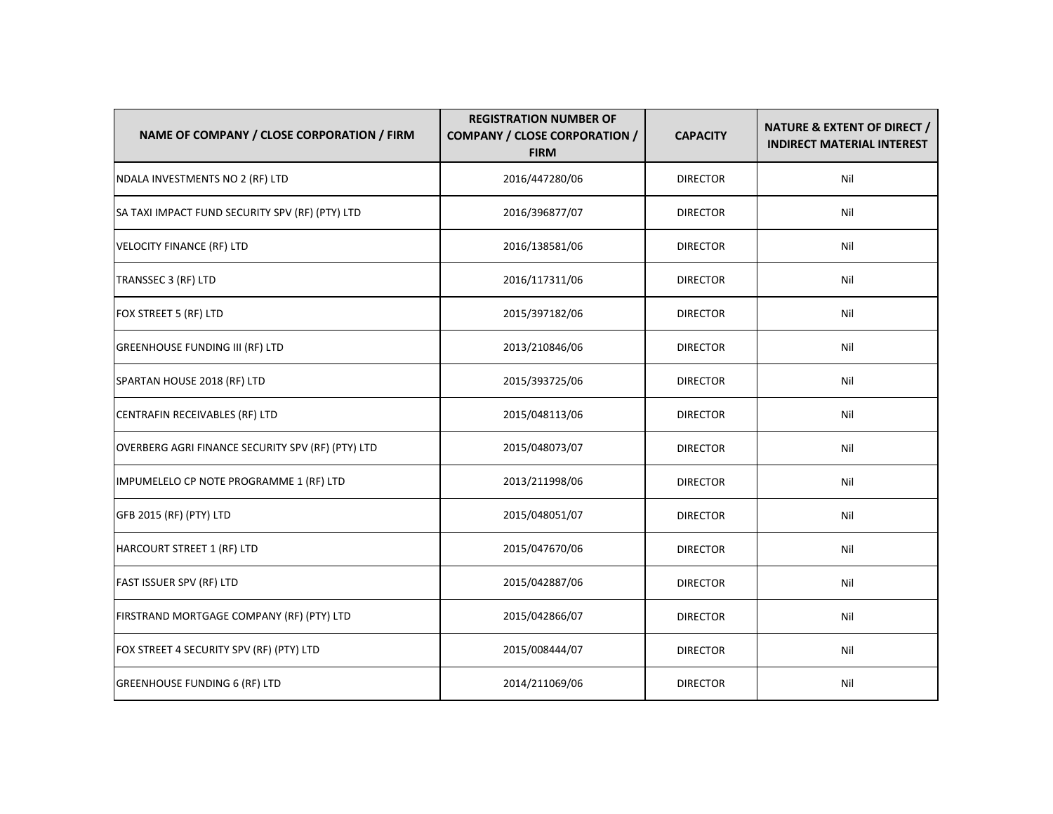| NAME OF COMPANY / CLOSE CORPORATION / FIRM        | <b>REGISTRATION NUMBER OF</b><br><b>COMPANY / CLOSE CORPORATION /</b><br><b>FIRM</b> | <b>CAPACITY</b> | <b>NATURE &amp; EXTENT OF DIRECT /</b><br><b>INDIRECT MATERIAL INTEREST</b> |
|---------------------------------------------------|--------------------------------------------------------------------------------------|-----------------|-----------------------------------------------------------------------------|
| NDALA INVESTMENTS NO 2 (RF) LTD                   | 2016/447280/06                                                                       | <b>DIRECTOR</b> | Nil                                                                         |
| SA TAXI IMPACT FUND SECURITY SPV (RF) (PTY) LTD   | 2016/396877/07                                                                       | <b>DIRECTOR</b> | Nil                                                                         |
| <b>VELOCITY FINANCE (RF) LTD</b>                  | 2016/138581/06                                                                       | <b>DIRECTOR</b> | Nil                                                                         |
| TRANSSEC 3 (RF) LTD                               | 2016/117311/06                                                                       | <b>DIRECTOR</b> | Nil                                                                         |
| FOX STREET 5 (RF) LTD                             | 2015/397182/06                                                                       | <b>DIRECTOR</b> | Nil                                                                         |
| <b>GREENHOUSE FUNDING III (RF) LTD</b>            | 2013/210846/06                                                                       | <b>DIRECTOR</b> | Nil                                                                         |
| SPARTAN HOUSE 2018 (RF) LTD                       | 2015/393725/06                                                                       | <b>DIRECTOR</b> | Nil                                                                         |
| CENTRAFIN RECEIVABLES (RF) LTD                    | 2015/048113/06                                                                       | <b>DIRECTOR</b> | Nil                                                                         |
| OVERBERG AGRI FINANCE SECURITY SPV (RF) (PTY) LTD | 2015/048073/07                                                                       | <b>DIRECTOR</b> | Nil                                                                         |
| IMPUMELELO CP NOTE PROGRAMME 1 (RF) LTD           | 2013/211998/06                                                                       | <b>DIRECTOR</b> | Nil                                                                         |
| GFB 2015 (RF) (PTY) LTD                           | 2015/048051/07                                                                       | <b>DIRECTOR</b> | Nil                                                                         |
| <b>HARCOURT STREET 1 (RF) LTD</b>                 | 2015/047670/06                                                                       | <b>DIRECTOR</b> | Nil                                                                         |
| FAST ISSUER SPV (RF) LTD                          | 2015/042887/06                                                                       | <b>DIRECTOR</b> | Nil                                                                         |
| FIRSTRAND MORTGAGE COMPANY (RF) (PTY) LTD         | 2015/042866/07                                                                       | <b>DIRECTOR</b> | Nil                                                                         |
| FOX STREET 4 SECURITY SPV (RF) (PTY) LTD          | 2015/008444/07                                                                       | <b>DIRECTOR</b> | Nil                                                                         |
| <b>GREENHOUSE FUNDING 6 (RF) LTD</b>              | 2014/211069/06                                                                       | <b>DIRECTOR</b> | Nil                                                                         |
|                                                   |                                                                                      |                 |                                                                             |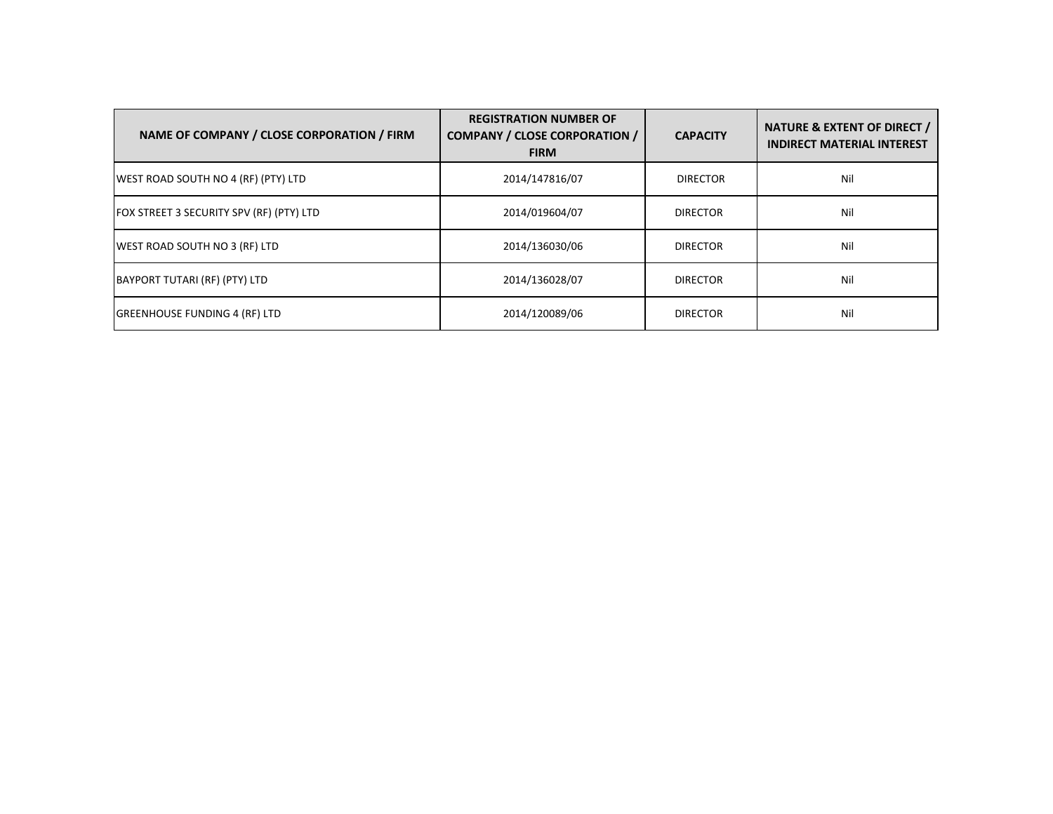| NAME OF COMPANY / CLOSE CORPORATION / FIRM | <b>REGISTRATION NUMBER OF</b><br><b>COMPANY / CLOSE CORPORATION /</b><br><b>FIRM</b> | <b>CAPACITY</b> | NATURE & EXTENT OF DIRECT /<br><b>INDIRECT MATERIAL INTEREST</b> |
|--------------------------------------------|--------------------------------------------------------------------------------------|-----------------|------------------------------------------------------------------|
| WEST ROAD SOUTH NO 4 (RF) (PTY) LTD        | 2014/147816/07                                                                       | <b>DIRECTOR</b> | Nil                                                              |
| FOX STREET 3 SECURITY SPV (RF) (PTY) LTD   | 2014/019604/07                                                                       | <b>DIRECTOR</b> | Nil                                                              |
| WEST ROAD SOUTH NO 3 (RF) LTD              | 2014/136030/06                                                                       | <b>DIRECTOR</b> | Nil                                                              |
| BAYPORT TUTARI (RF) (PTY) LTD              | 2014/136028/07                                                                       | <b>DIRECTOR</b> | Nil                                                              |
| <b>GREENHOUSE FUNDING 4 (RF) LTD</b>       | 2014/120089/06                                                                       | <b>DIRECTOR</b> | Nil                                                              |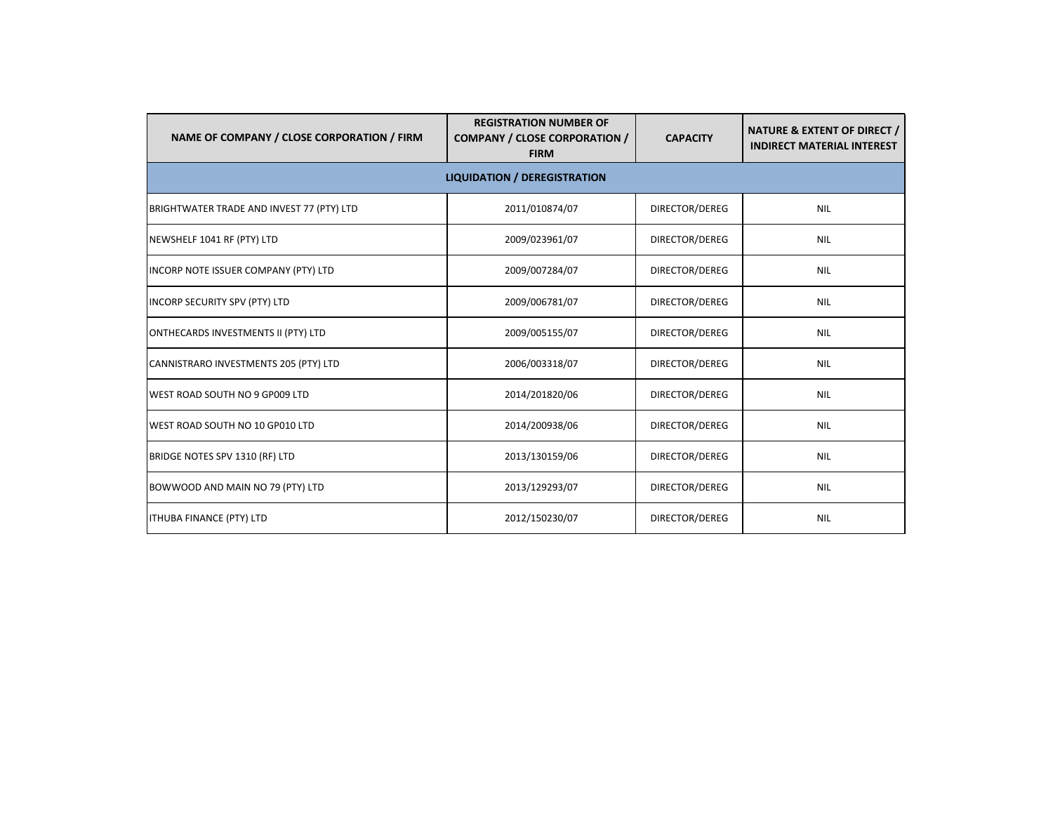| NAME OF COMPANY / CLOSE CORPORATION / FIRM | <b>REGISTRATION NUMBER OF</b><br><b>COMPANY / CLOSE CORPORATION /</b><br><b>FIRM</b> | <b>CAPACITY</b> | <b>NATURE &amp; EXTENT OF DIRECT /</b><br><b>INDIRECT MATERIAL INTEREST</b> |
|--------------------------------------------|--------------------------------------------------------------------------------------|-----------------|-----------------------------------------------------------------------------|
|                                            | <b>LIQUIDATION / DEREGISTRATION</b>                                                  |                 |                                                                             |
| BRIGHTWATER TRADE AND INVEST 77 (PTY) LTD  | 2011/010874/07                                                                       | DIRECTOR/DEREG  | <b>NIL</b>                                                                  |
| NEWSHELF 1041 RF (PTY) LTD                 | 2009/023961/07                                                                       | DIRECTOR/DEREG  | <b>NIL</b>                                                                  |
| INCORP NOTE ISSUER COMPANY (PTY) LTD       | 2009/007284/07                                                                       | DIRECTOR/DEREG  | <b>NIL</b>                                                                  |
| INCORP SECURITY SPV (PTY) LTD              | 2009/006781/07                                                                       | DIRECTOR/DEREG  | <b>NIL</b>                                                                  |
| ONTHECARDS INVESTMENTS II (PTY) LTD        | 2009/005155/07                                                                       | DIRECTOR/DEREG  | <b>NIL</b>                                                                  |
| CANNISTRARO INVESTMENTS 205 (PTY) LTD      | 2006/003318/07                                                                       | DIRECTOR/DEREG  | <b>NIL</b>                                                                  |
| WEST ROAD SOUTH NO 9 GP009 LTD             | 2014/201820/06                                                                       | DIRECTOR/DEREG  | <b>NIL</b>                                                                  |
| WEST ROAD SOUTH NO 10 GP010 LTD            | 2014/200938/06                                                                       | DIRECTOR/DEREG  | <b>NIL</b>                                                                  |
| BRIDGE NOTES SPV 1310 (RF) LTD             | 2013/130159/06                                                                       | DIRECTOR/DEREG  | <b>NIL</b>                                                                  |
| BOWWOOD AND MAIN NO 79 (PTY) LTD           | 2013/129293/07                                                                       | DIRECTOR/DEREG  | <b>NIL</b>                                                                  |
| <b>ITHUBA FINANCE (PTY) LTD</b>            | 2012/150230/07                                                                       | DIRECTOR/DEREG  | <b>NIL</b>                                                                  |